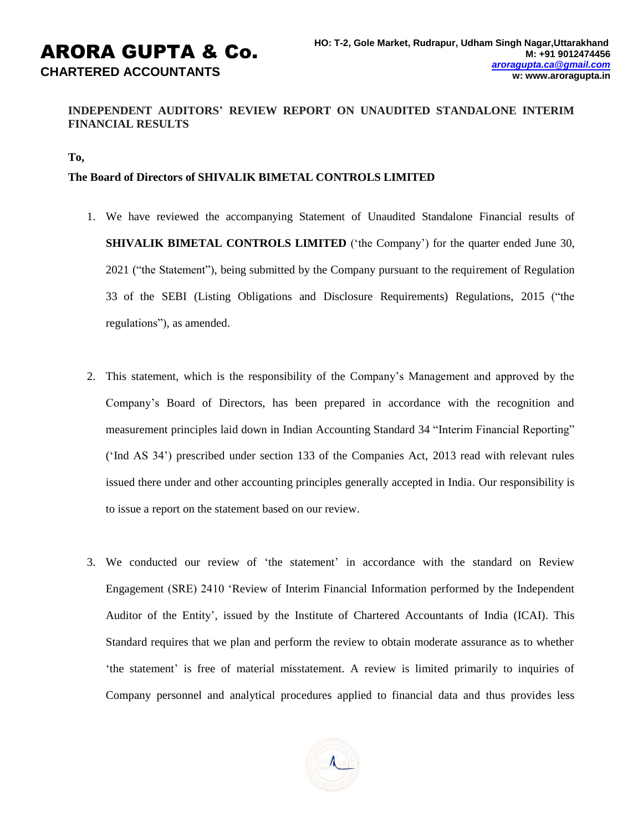# **INDEPENDENT AUDITORS' REVIEW REPORT ON UNAUDITED STANDALONE INTERIM FINANCIAL RESULTS**

### **To,**

## **The Board of Directors of SHIVALIK BIMETAL CONTROLS LIMITED**

- 1. We have reviewed the accompanying Statement of Unaudited Standalone Financial results of **SHIVALIK BIMETAL CONTROLS LIMITED** ('the Company') for the quarter ended June 30, 2021 ("the Statement"), being submitted by the Company pursuant to the requirement of Regulation 33 of the SEBI (Listing Obligations and Disclosure Requirements) Regulations, 2015 ("the regulations"), as amended.
- 2. This statement, which is the responsibility of the Company's Management and approved by the Company's Board of Directors, has been prepared in accordance with the recognition and measurement principles laid down in Indian Accounting Standard 34 "Interim Financial Reporting" ('Ind AS 34') prescribed under section 133 of the Companies Act, 2013 read with relevant rules issued there under and other accounting principles generally accepted in India. Our responsibility is to issue a report on the statement based on our review.
- 3. We conducted our review of 'the statement' in accordance with the standard on Review Engagement (SRE) 2410 'Review of Interim Financial Information performed by the Independent Auditor of the Entity', issued by the Institute of Chartered Accountants of India (ICAI). This Standard requires that we plan and perform the review to obtain moderate assurance as to whether 'the statement' is free of material misstatement. A review is limited primarily to inquiries of Company personnel and analytical procedures applied to financial data and thus provides less

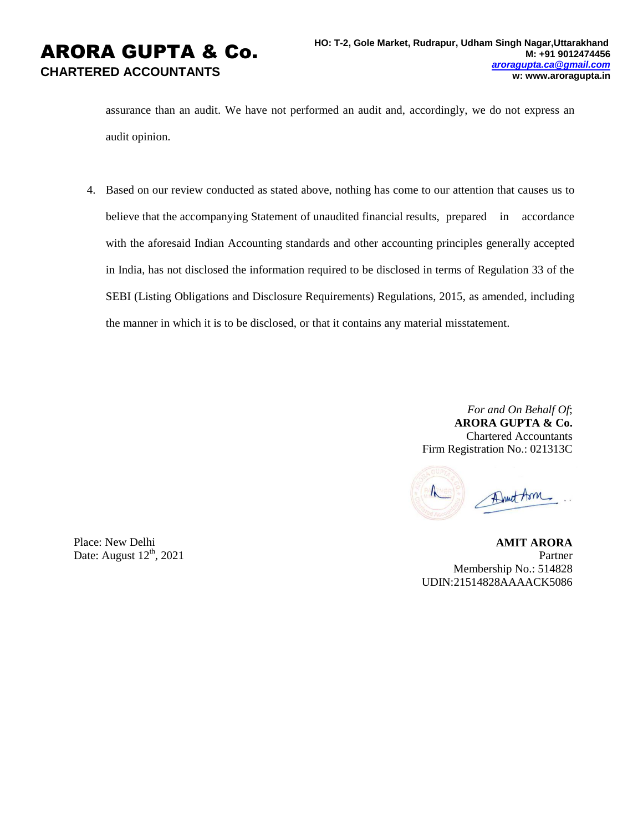assurance than an audit. We have not performed an audit and, accordingly, we do not express an audit opinion.

4. Based on our review conducted as stated above, nothing has come to our attention that causes us to believe that the accompanying Statement of unaudited financial results, prepared in accordance with the aforesaid Indian Accounting standards and other accounting principles generally accepted in India, has not disclosed the information required to be disclosed in terms of Regulation 33 of the SEBI (Listing Obligations and Disclosure Requirements) Regulations, 2015, as amended, including the manner in which it is to be disclosed, or that it contains any material misstatement.

> *For and On Behalf Of*; **ARORA GUPTA & Co.** Chartered Accountants Firm Registration No.: 021313C

Druct Aon

Place: New Delhi Date: August  $12<sup>th</sup>$ , 2021

**AMIT ARORA** Partner Membership No.: 514828 UDIN:21514828AAAACK5086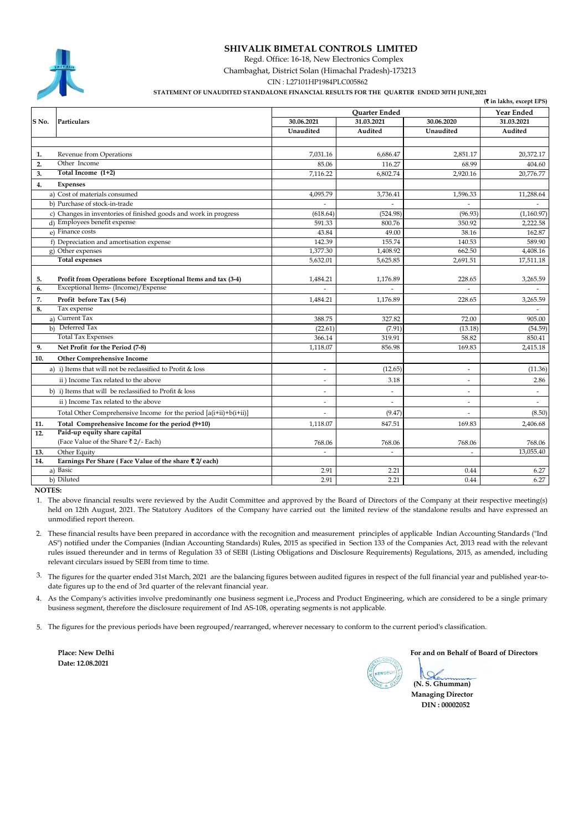### **SHIVALIK BIMETAL CONTROLS LIMITED**

Regd. Office: 16-18, New Electronics Complex

Chambaghat, District Solan (Himachal Pradesh)-173213

CIN : L27101HP1984PLC005862

 **STATEMENT OF UNAUDITED STANDALONE FINANCIAL RESULTS FOR THE QUARTER ENDED 30TH JUNE,2021**

|       |                                                                                                      |                          |                          |                          | (₹ in lakhs, except EPS) |
|-------|------------------------------------------------------------------------------------------------------|--------------------------|--------------------------|--------------------------|--------------------------|
|       |                                                                                                      | <b>Ouarter Ended</b>     |                          |                          | <b>Year Ended</b>        |
| S No. | Particulars                                                                                          | 30.06.2021               | 31.03.2021               | 30.06.2020               | 31.03.2021               |
|       |                                                                                                      | Unaudited                | Audited                  | Unaudited                | Audited                  |
|       |                                                                                                      |                          |                          |                          |                          |
| 1.    | Revenue from Operations                                                                              | 7,031.16                 | 6,686.47                 | 2.851.17                 | 20,372.17                |
| 2.    | Other Income                                                                                         | 85.06                    | 116.27                   | 68.99                    | 404.60                   |
| 3.    | Total Income (1+2)                                                                                   | 7,116.22                 | 6,802.74                 | 2,920.16                 | 20,776.77                |
| 4.    | Expenses                                                                                             |                          |                          |                          |                          |
|       | a) Cost of materials consumed                                                                        | 4,095.79                 | 3,736.41                 | 1,596.33                 | 11,288.64                |
|       | b) Purchase of stock-in-trade                                                                        | ÷.                       | $\mathcal{L}$            | $\mathbf{r}$             |                          |
|       | c) Changes in inventories of finished goods and work in progress                                     | (618.64)                 | (524.98)                 | (96.93)                  | (1,160.97)               |
|       | d) Employees benefit expense                                                                         | 591.33                   | 800.76                   | 350.92                   | 2,222.58                 |
|       | e) Finance costs                                                                                     | 43.84                    | 49.00                    | 38.16                    | 162.87                   |
|       | f) Depreciation and amortisation expense                                                             | 142.39                   | 155.74                   | 140.53                   | 589.90                   |
|       | g) Other expenses                                                                                    | 1,377.30                 | 1,408.92                 | 662.50                   | 4,408.16                 |
|       | <b>Total expenses</b>                                                                                | 5,632.01                 | 5,625.85                 | 2,691.51                 | 17,511.18                |
|       |                                                                                                      |                          |                          |                          |                          |
| 5.    | Profit from Operations before Exceptional Items and tax (3-4)<br>Exceptional Items- (Income)/Expense | 1,484.21                 | 1,176.89                 | 228.65                   | 3,265.59                 |
| 6.    |                                                                                                      |                          |                          |                          |                          |
| 7.    | Profit before Tax (5-6)                                                                              | 1.484.21                 | 1.176.89                 | 228.65                   | 3.265.59                 |
| 8.    | Tax expense                                                                                          |                          |                          |                          |                          |
|       | a) Current Tax                                                                                       | 388.75                   | 327.82                   | 72.00                    | 905.00                   |
|       | b) Deferred Tax                                                                                      | (22.61)                  | (7.91)                   | (13.18)                  | (54.59)                  |
|       | <b>Total Tax Expenses</b>                                                                            | 366.14                   | 319.91                   | 58.82                    | 850.41                   |
| 9.    | Net Profit for the Period (7-8)                                                                      | 1,118.07                 | 856.98                   | 169.83                   | 2,415.18                 |
| 10.   | <b>Other Comprehensive Income</b>                                                                    |                          |                          |                          |                          |
|       | a) i) Items that will not be reclassified to Profit & loss                                           | $\overline{a}$           | (12.65)                  | $\overline{\phantom{a}}$ | (11.36)                  |
|       | ii) Income Tax related to the above                                                                  | $\sim$                   | 3.18                     | $\overline{\phantom{a}}$ | 2.86                     |
|       | b) i) Items that will be reclassified to Profit & loss                                               | $\overline{\phantom{a}}$ | $\overline{\phantom{a}}$ | $\overline{\phantom{a}}$ | ä,                       |
|       | ii) Income Tax related to the above                                                                  | $\overline{\phantom{a}}$ | $\overline{a}$           | $\tilde{\phantom{a}}$    | $\blacksquare$           |
|       | Total Other Comprehensive Income for the period [a(i+ii)+b(i+ii)]                                    |                          | (9.47)                   |                          | (8.50)                   |
| 11.   | Total Comprehensive Income for the period (9+10)                                                     | 1,118.07                 | 847.51                   | 169.83                   | 2,406.68                 |
| 12.   | Paid-up equity share capital                                                                         |                          |                          |                          |                          |
|       | (Face Value of the Share ₹2/-Each)                                                                   | 768.06                   | 768.06                   | 768.06                   | 768.06                   |
| 13.   | Other Equity                                                                                         | $\overline{a}$           | ÷,                       | $\overline{a}$           | 13,055.40                |
| 14.   | Earnings Per Share (Face Value of the share ₹2/ each)                                                |                          |                          |                          |                          |
|       | a) Basic                                                                                             | 2.91                     | 2.21                     | 0.44                     | 6.27                     |
|       | b) Diluted                                                                                           | 2.91                     | 2.21                     | 0.44                     | 6.27                     |

 **NOTES:**

1. The above financial results were reviewed by the Audit Committee and approved by the Board of Directors of the Company at their respective meeting(s) held on 12th August, 2021. The Statutory Auditors of the Company have carried out the limited review of the standalone results and have expressed an unmodified report thereon.

2. These financial results have been prepared in accordance with the recognition and measurement principles of applicable Indian Accounting Standards ("Ind AS") notified under the Companies (Indian Accounting Standards) Rules, 2015 as specified in Section 133 of the Companies Act, 2013 read with the relevant rules issued thereunder and in terms of Regulation 33 of SEBI (Listing Obligations and Disclosure Requirements) Regulations, 2015, as amended, including relevant circulars issued by SEBI from time to time.

3. The figures for the quarter ended 31st March, 2021 are the balancing figures between audited figures in respect of the full financial year and published year-todate figures up to the end of 3rd quarter of the relevant financial year.

4. As the Company's activities involve predominantly one business segment i.e.,Process and Product Engineering, which are considered to be a single primary business segment, therefore the disclosure requirement of Ind AS-108, operating segments is not applicable.

5. The figures for the previous periods have been regrouped/rearranged, wherever necessary to conform to the current period's classification.

**Place: New Delhi Date: 12.08.2021**

 **For and on Behalf of Board of Directors**

**(N. S. Ghumman) Managing Director DIN : 00002052**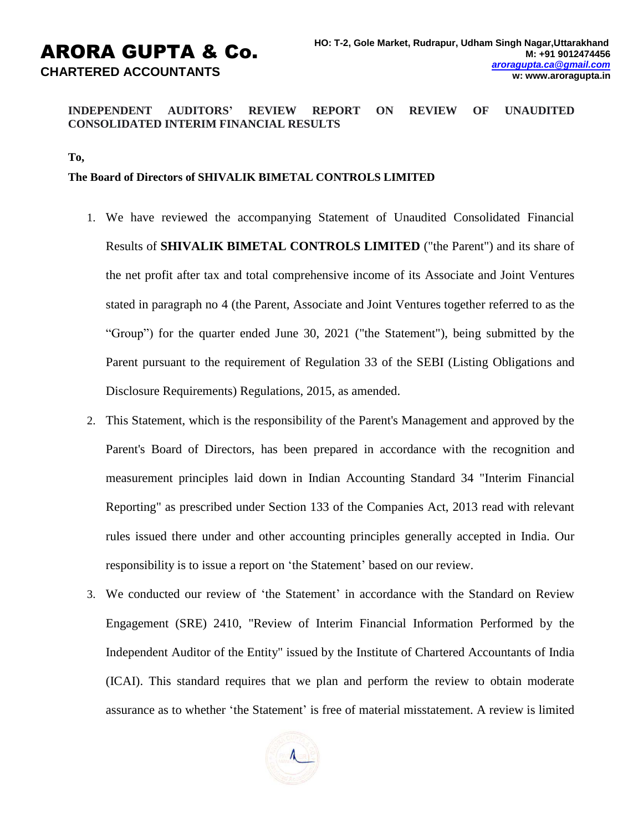# **INDEPENDENT AUDITORS' REVIEW REPORT ON REVIEW OF UNAUDITED CONSOLIDATED INTERIM FINANCIAL RESULTS**

**To,**

# **The Board of Directors of SHIVALIK BIMETAL CONTROLS LIMITED**

- 1. We have reviewed the accompanying Statement of Unaudited Consolidated Financial Results of **SHIVALIK BIMETAL CONTROLS LIMITED** ("the Parent") and its share of the net profit after tax and total comprehensive income of its Associate and Joint Ventures stated in paragraph no 4 (the Parent, Associate and Joint Ventures together referred to as the "Group") for the quarter ended June 30, 2021 ("the Statement"), being submitted by the Parent pursuant to the requirement of Regulation 33 of the SEBI (Listing Obligations and Disclosure Requirements) Regulations, 2015, as amended.
- 2. This Statement, which is the responsibility of the Parent's Management and approved by the Parent's Board of Directors, has been prepared in accordance with the recognition and measurement principles laid down in Indian Accounting Standard 34 "Interim Financial Reporting" as prescribed under Section 133 of the Companies Act, 2013 read with relevant rules issued there under and other accounting principles generally accepted in India. Our responsibility is to issue a report on 'the Statement' based on our review.
- 3. We conducted our review of 'the Statement' in accordance with the Standard on Review Engagement (SRE) 2410, "Review of Interim Financial Information Performed by the Independent Auditor of the Entity" issued by the Institute of Chartered Accountants of India (ICAI). This standard requires that we plan and perform the review to obtain moderate assurance as to whether 'the Statement' is free of material misstatement. A review is limited

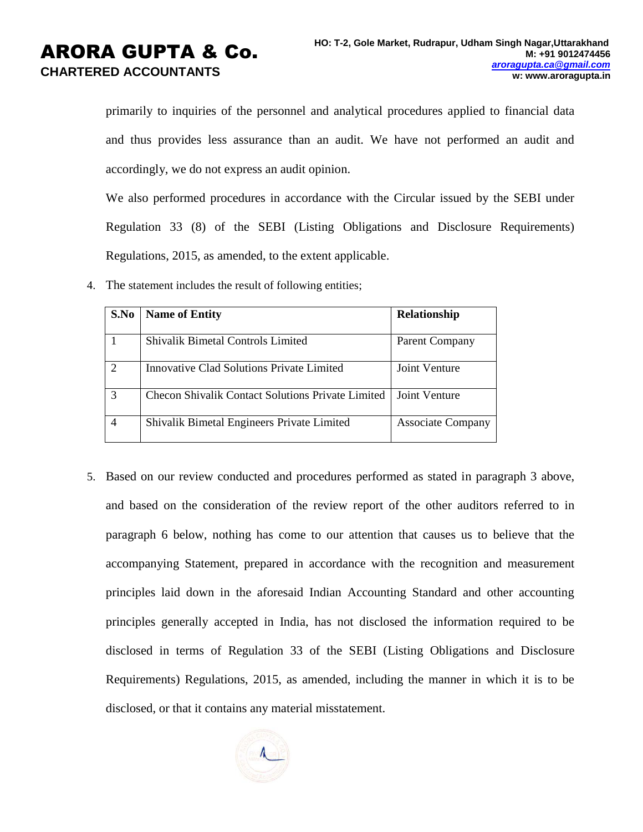# ARORA GUPTA & Co. **CHARTERED ACCOUNTANTS**

primarily to inquiries of the personnel and analytical procedures applied to financial data and thus provides less assurance than an audit. We have not performed an audit and accordingly, we do not express an audit opinion.

We also performed procedures in accordance with the Circular issued by the SEBI under Regulation 33 (8) of the SEBI (Listing Obligations and Disclosure Requirements) Regulations, 2015, as amended, to the extent applicable.

4. The statement includes the result of following entities;

| S.No | <b>Name of Entity</b>                             | Relationship             |  |
|------|---------------------------------------------------|--------------------------|--|
|      | Shivalik Bimetal Controls Limited                 | Parent Company           |  |
|      | Innovative Clad Solutions Private Limited         | Joint Venture            |  |
|      | Checon Shivalik Contact Solutions Private Limited | Joint Venture            |  |
|      | Shivalik Bimetal Engineers Private Limited        | <b>Associate Company</b> |  |

5. Based on our review conducted and procedures performed as stated in paragraph 3 above, and based on the consideration of the review report of the other auditors referred to in paragraph 6 below, nothing has come to our attention that causes us to believe that the accompanying Statement, prepared in accordance with the recognition and measurement principles laid down in the aforesaid Indian Accounting Standard and other accounting principles generally accepted in India, has not disclosed the information required to be disclosed in terms of Regulation 33 of the SEBI (Listing Obligations and Disclosure Requirements) Regulations, 2015, as amended, including the manner in which it is to be disclosed, or that it contains any material misstatement.

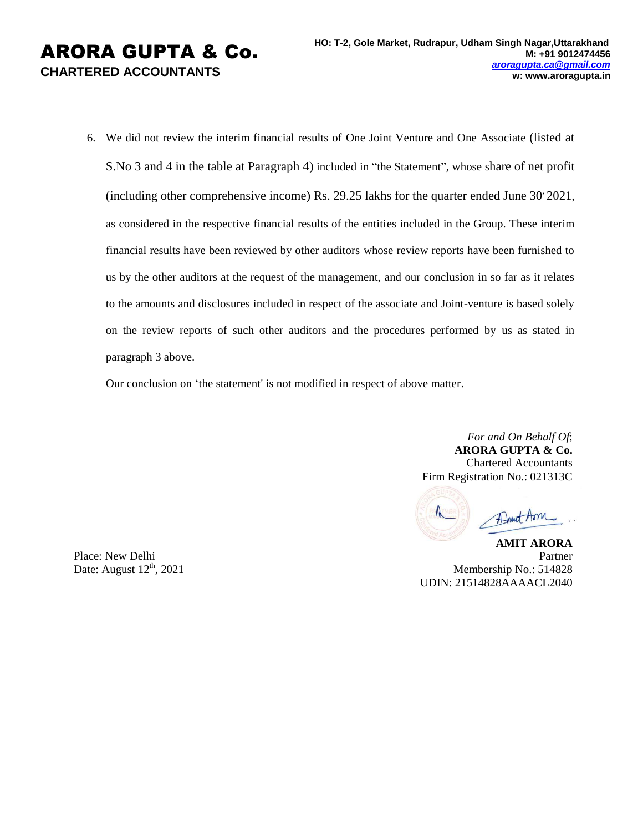6. We did not review the interim financial results of One Joint Venture and One Associate (listed at S.No 3 and 4 in the table at Paragraph 4) included in "the Statement", whose share of net profit (including other comprehensive income) Rs. 29.25 lakhs for the quarter ended June 30, 2021, as considered in the respective financial results of the entities included in the Group. These interim financial results have been reviewed by other auditors whose review reports have been furnished to us by the other auditors at the request of the management, and our conclusion in so far as it relates to the amounts and disclosures included in respect of the associate and Joint-venture is based solely on the review reports of such other auditors and the procedures performed by us as stated in paragraph 3 above.

Our conclusion on 'the statement' is not modified in respect of above matter.

*For and On Behalf Of*; **ARORA GUPTA & Co.** Chartered Accountants Firm Registration No.: 021313C

Afrait Aon

**AMIT ARORA** Partner Membership No.: 514828 UDIN: 21514828AAAACL2040

Place: New Delhi Date: August  $12<sup>th</sup>$ , 2021